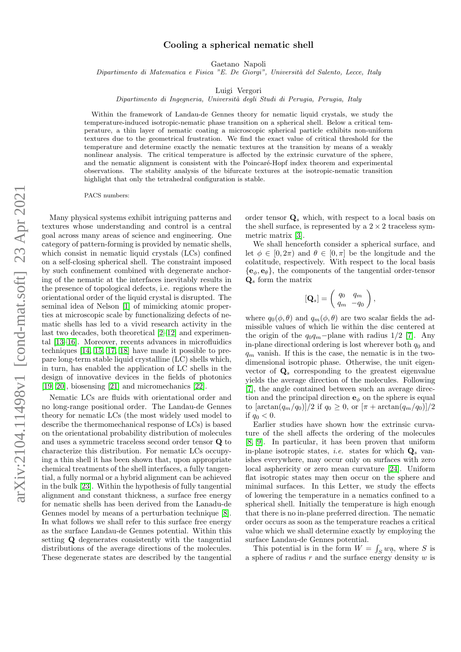## Cooling a spherical nematic shell

Gaetano Napoli

Dipartimento di Matematica e Fisica "E. De Giorgi", Università del Salento, Lecce, Italy

Luigi Vergori

Dipartimento di Ingegneria, Università degli Studi di Perugia, Perugia, Italy

Within the framework of Landau-de Gennes theory for nematic liquid crystals, we study the temperature-induced isotropic-nematic phase transition on a spherical shell. Below a critical temperature, a thin layer of nematic coating a microscopic spherical particle exhibits non-uniform textures due to the geometrical frustration. We find the exact value of critical threshold for the temperature and determine exactly the nematic textures at the transition by means of a weakly nonlinear analysis. The critical temperature is affected by the extrinsic curvature of the sphere, and the nematic alignment is consistent with the Poincaré-Hopf index theorem and experimental observations. The stability analysis of the bifurcate textures at the isotropic-nematic transition highlight that only the tetrahedral configuration is stable.

PACS numbers:

Many physical systems exhibit intriguing patterns and textures whose understanding and control is a central goal across many areas of science and engineering. One category of pattern-forming is provided by nematic shells, which consist in nematic liquid crystals (LCs) confined on a self-closing spherical shell. The constraint imposed by such confinement combined with degenerate anchoring of the nematic at the interfaces inevitably results in the presence of topological defects, i.e. regions where the orientational order of the liquid crystal is disrupted. The seminal idea of Nelson [\[1\]](#page-4-0) of mimicking atomic properties at microscopic scale by functionalizing defects of nematic shells has led to a vivid research activity in the last two decades, both theoretical [\[2–](#page-4-1)[12\]](#page-4-2) and experimental [\[13](#page-4-3)[–16\]](#page-4-4). Moreover, recents advances in microfluidics techniques [\[14,](#page-4-5) [15,](#page-4-6) [17,](#page-4-7) [18\]](#page-4-8) have made it possible to prepare long-term stable liquid crystalline (LC) shells which, in turn, has enabled the application of LC shells in the design of innovative devices in the fields of photonics [\[19,](#page-4-9) [20\]](#page-4-10), biosensing [\[21\]](#page-4-11) and micromechanics [\[22\]](#page-4-12).

Nematic LCs are fluids with orientational order and no long-range positional order. The Landau-de Gennes theory for nematic LCs (the most widely used model to describe the thermomechanical response of LCs) is based on the orientational probability distribution of molecules and uses a symmetric traceless second order tensor Q to characterize this distribution. For nematic LCs occupying a thin shell it has been shown that, upon appropriate chemical treatments of the shell interfaces, a fully tangential, a fully normal or a hybrid alignment can be achieved in the bulk [\[23\]](#page-5-0). Within the hypothesis of fully tangential alignment and constant thickness, a surface free energy for nematic shells has been derived from the Lanadu-de Gennes model by means of a perturbation technique [\[8\]](#page-4-13). In what follows we shall refer to this surface free energy as the surface Landau-de Gennes potential. Within this setting Q degenerates consistently with the tangential distributions of the average directions of the molecules. These degenerate states are described by the tangential

order tensor  $Q_s$  which, with respect to a local basis on the shell surface, is represented by a  $2 \times 2$  traceless symmetric matrix [\[3\]](#page-4-14).

We shall henceforth consider a spherical surface, and let  $\phi \in [0, 2\pi)$  and  $\theta \in [0, \pi]$  be the longitude and the colatitude, respectively. With respect to the local basis  ${e_{\phi}, e_{\theta}}$ , the components of the tangential order-tensor  $\mathbf{Q}_s$  form the matrix

$$
\left[\mathbf{Q}_s\right] = \left(\begin{array}{cc} q_0 & q_m \\ q_m & -q_0 \end{array}\right),\,
$$

where  $q_0(\phi, \theta)$  and  $q_m(\phi, \theta)$  are two scalar fields the admissible values of which lie within the disc centered at the origin of the  $q_0q_m$ −plane with radius 1/2 [\[7\]](#page-4-15). Any in-plane directional ordering is lost wherever both  $q_0$  and  $q_m$  vanish. If this is the case, the nematic is in the twodimensional isotropic phase. Otherwise, the unit eigenvector of  $\mathbf{Q}_s$  corresponding to the greatest eigenvalue yields the average direction of the molecules. Following [\[7\]](#page-4-15), the angle contained between such an average direction and the principal direction  $e_{\phi}$  on the sphere is equal to  $[\arctan(q_m/q_0)]/2$  if  $q_0 \geq 0$ , or  $[\pi + \arctan(q_m/q_0)]/2$ if  $q_0 < 0$ .

Earlier studies have shown how the extrinsic curvature of the shell affects the ordering of the molecules [\[8,](#page-4-13) [9\]](#page-4-16). In particular, it has been proven that uniform in-plane isotropic states, *i.e.* states for which  $\mathbf{Q}_s$  vanishes everywhere, may occur only on surfaces with zero local asphericity or zero mean curvature [\[24\]](#page-5-1). Uniform flat isotropic states may then occur on the sphere and minimal surfaces. In this Letter, we study the effects of lowering the temperature in a nematics confined to a spherical shell. Initially the temperature is high enough that there is no in-plane preferred direction. The nematic order occurs as soon as the temperature reaches a critical value which we shall determine exactly by employing the surface Landau-de Gennes potential.

This potential is in the form  $W = \int_S w \mathbf{a}$ , where S is a sphere of radius  $r$  and the surface energy density  $w$  is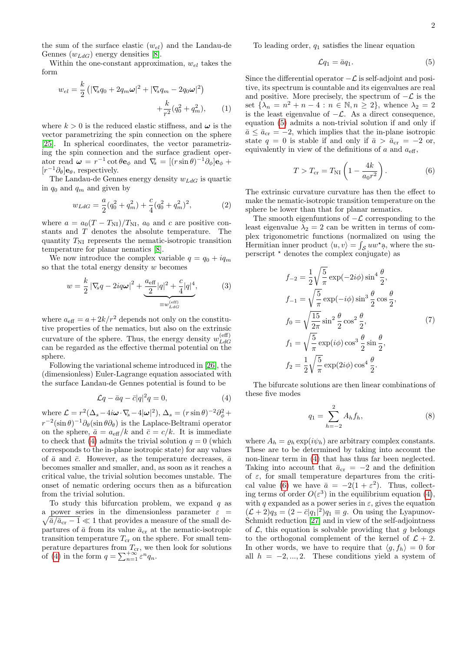the sum of the surface elastic  $(w_{el})$  and the Landau-de Gennes  $(w_{LdG})$  energy densities [\[8\]](#page-4-13).

Within the one-constant approximation,  $w_{el}$  takes the form

$$
w_{el} = \frac{k}{2} \left( |\nabla_s q_0 + 2q_m \omega|^2 + |\nabla_s q_m - 2q_0 \omega|^2 \right) + \frac{k}{r^2} (q_0^2 + q_m^2), \qquad (1)
$$

where  $k > 0$  is the reduced elastic stiffness, and  $\omega$  is the vector parametrizing the spin connection on the sphere [\[25\]](#page-5-2). In spherical coordinates, the vector parametrizing the spin connection and the surface gradient operator read  $\boldsymbol{\omega} = r^{-1} \cot \theta \mathbf{e}_{\phi}$  and  $\nabla_{\!s} = [(r \sin \theta)^{-1} \partial_{\phi}] \mathbf{e}_{\phi} +$  $[r^{-1}\partial_{\theta}]$ **e** $_{\theta}$ , respectively.

The Landau-de Gennes energy density  $w_{LdG}$  is quartic in  $q_0$  and  $q_m$  and given by

$$
w_{LdG} = \frac{a}{2}(q_0^2 + q_m^2) + \frac{c}{4}(q_0^2 + q_m^2)^2,
$$
 (2)

where  $a = a_0(T - T_{\text{NI}})/T_{\text{NI}}, a_0$  and c are positive constants and T denotes the absolute temperature. The quantity  $T_{\rm NI}$  represents the nematic-isotropic transition temperature for planar nematics [\[8\]](#page-4-13).

We now introduce the complex variable  $q = q_0 + iq_m$ so that the total energy density  $w$  becomes

$$
w = \frac{k}{2} |\nabla_s q - 2iq\omega|^2 + \underbrace{\frac{a_{\text{eff}}}{2} |q|^2 + \frac{c}{4} |q|^4}_{\equiv w_{L dG}^{\text{(eff)}}},\tag{3}
$$

where  $a_{\text{eff}} = a + 2k/r^2$  depends not only on the constitutive properties of the nematics, but also on the extrinsic curvature of the sphere. Thus, the energy density  $w_{LdG}^{(\text{eff})}$ LdG can be regarded as the effective thermal potential on the sphere.

Following the variational scheme introduced in [\[26\]](#page-5-3), the (dimensionless) Euler-Lagrange equation associated with the surface Landau-de Gennes potential is found to be

<span id="page-1-0"></span>
$$
\mathcal{L}q - \bar{a}q - \bar{c}|q|^2 q = 0,\tag{4}
$$

where  $\mathcal{L} = r^2 (\Delta_s - 4i\omega \cdot \nabla_s - 4|\omega|^2), \Delta_s = (r \sin \theta)^{-2} \partial_{\phi}^2 +$  $r^{-2}(\sin\theta)^{-1}\partial_{\theta}(\sin\theta\partial_{\theta})$  is the Laplace-Beltrami operator on the sphere,  $\bar{a} = a_{\text{eff}}/k$  and  $\bar{c} = c/k$ . It is immediate to check that [\(4\)](#page-1-0) admits the trivial solution  $q = 0$  (which corresponds to the in-plane isotropic state) for any values of  $\bar{a}$  and  $\bar{c}$ . However, as the temperature decreases,  $\bar{a}$ becomes smaller and smaller, and, as soon as it reaches a critical value, the trivial solution becomes unstable. The onset of nematic ordering occurs then as a bifurcation from the trivial solution.

To study this bifurcation problem, we expand  $q$  as a power series in the dimensionless parameter  $\varepsilon =$  $\sqrt{\bar{a}/\bar{a}_{\rm cr}-1} \ll 1$  that provides a measure of the small departures of  $\bar{a}$  from its value  $\bar{a}_{cr}$  at the nematic-isotropic transition temperature  $T_{cr}$  on the sphere. For small temperature departures from  $T_{cr}$ , we then look for solutions of [\(4\)](#page-1-0) in the form  $q = \sum_{n=1}^{+\infty} \varepsilon^n q_n$ .

To leading order,  $q_1$  satisfies the linear equation

<span id="page-1-1"></span>
$$
\mathcal{L}q_1 = \bar{a}q_1. \tag{5}
$$

Since the differential operator  $-\mathcal{L}$  is self-adjoint and positive, its spectrum is countable and its eigenvalues are real and positive. More precisely, the spectrum of  $-\mathcal{L}$  is the set  $\{\lambda_n = n^2 + n - 4 : n \in \mathbb{N}, n \geq 2\}$ , whence  $\lambda_2 = 2$ is the least eigenvalue of  $-\mathcal{L}$ . As a direct consequence, equation [\(5\)](#page-1-1) admits a non-trivial solution if and only if  $\bar{a} \le \bar{a}_{cr} = -2$ , which implies that the in-plane isotropic state  $q = 0$  is stable if and only if  $\bar{a} > \bar{a}_{cr} = -2$  or, equivalently in view of the definitions of  $a$  and  $a_{\text{eff}}$ ,

<span id="page-1-2"></span>
$$
T > T_{\rm cr} = T_{\rm NI} \left( 1 - \frac{4k}{a_0 r^2} \right). \tag{6}
$$

The extrinsic curvature curvature has then the effect to make the nematic-isotropic transition temperature on the sphere be lower than that for planar nematics.

The smooth eigenfuntions of  $-\mathcal{L}$  corresponding to the least eigenvalue  $\lambda_2 = 2$  can be written in terms of complex trigonometric functions (normalized on using the Hermitian inner product  $\langle u, v \rangle = \int_{\mathcal{S}} u w^* a$ , where the superscript ? denotes the complex conjugate) as

<span id="page-1-4"></span>
$$
f_{-2} = \frac{1}{2} \sqrt{\frac{5}{\pi}} \exp(-2i\phi) \sin^4 \frac{\theta}{2},
$$
  
\n
$$
f_{-1} = \sqrt{\frac{5}{\pi}} \exp(-i\phi) \sin^3 \frac{\theta}{2} \cos \frac{\theta}{2},
$$
  
\n
$$
f_0 = \sqrt{\frac{15}{2\pi}} \sin^2 \frac{\theta}{2} \cos^2 \frac{\theta}{2},
$$
  
\n
$$
f_1 = \sqrt{\frac{5}{\pi}} \exp(i\phi) \cos^3 \frac{\theta}{2} \sin \frac{\theta}{2},
$$
  
\n
$$
f_2 = \frac{1}{2} \sqrt{\frac{5}{\pi}} \exp(2i\phi) \cos^4 \frac{\theta}{2}.
$$
  
\n(7)

The bifurcate solutions are then linear combinations of these five modes

<span id="page-1-3"></span>
$$
q_1 = \sum_{h=-2}^{2} A_h f_h,
$$
 (8)

where  $A_h = \varrho_h \exp(i\psi_h)$  are arbitrary complex constants. These are to be determined by taking into account the non-linear term in [\(4\)](#page-1-0) that has thus far been neglected. Taking into account that  $\bar{a}_{cr} = -2$  and the definition of  $\varepsilon$ , for small temperature departures from the criti-cal value [\(6\)](#page-1-2) we have  $\bar{a} = -2(1 + \varepsilon^2)$ . Thus, collecting terms of order  $O(\varepsilon^3)$  in the equilibrium equation [\(4\)](#page-1-0), with q expanded as a power series in  $\varepsilon$ , gives the equation  $(\mathcal{L} + 2)q_3 = (2 - \bar{c}|q_1|^2)q_1 \equiv g$ . On using the Lyapunov-Schmidt reduction [\[27\]](#page-5-4) and in view of the self-adjointness of  $\mathcal{L}$ , this equation is solvable providing that q belongs to the orthogonal complement of the kernel of  $\mathcal{L} + 2$ . In other words, we have to require that  $\langle q, f_h \rangle = 0$  for all  $h = -2, ..., 2$ . These conditions yield a system of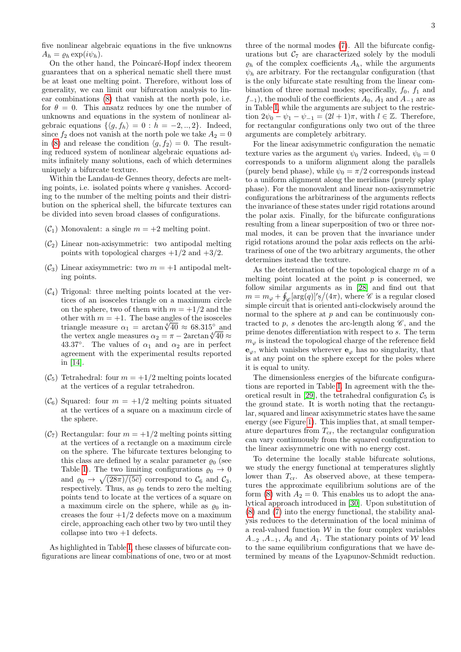five nonlinear algebraic equations in the five unknowns  $A_h = \varrho_h \exp(i\psi_h).$ 

On the other hand, the Poincaré-Hopf index theorem guarantees that on a spherical nematic shell there must be at least one melting point. Therefore, without loss of generality, we can limit our bifurcation analysis to linear combinations [\(8\)](#page-1-3) that vanish at the north pole, i.e. for  $\theta = 0$ . This ansatz reduces by one the number of unknowns and equations in the system of nonlinear algebraic equations  $\{\langle g, f_h \rangle = 0 : h = -2, ..., 2\}$ . Indeed, since  $f_2$  does not vanish at the north pole we take  $A_2 = 0$ in [\(8\)](#page-1-3) and release the condition  $\langle g, f_2 \rangle = 0$ . The resulting reduced system of nonlinear algebraic equations admits infinitely many solutions, each of which determines uniquely a bifurcate texture.

Within the Landau-de Gennes theory, defects are melting points, i.e. isolated points where  $q$  vanishes. According to the number of the melting points and their distribution on the spherical shell, the bifurcate textures can be divided into seven broad classes of configurations.

- $(\mathcal{C}_1)$  Monovalent: a single  $m = +2$  melting point.
- $(\mathcal{C}_2)$  Linear non-axisymmetric: two antipodal melting points with topological charges  $+1/2$  and  $+3/2$ .
- $(\mathcal{C}_3)$  Linear axisymmetric: two  $m = +1$  antipodal melting points.
- $(\mathcal{C}_4)$  Trigonal: three melting points located at the vertices of an isosceles triangle on a maximum circle on the sphere, two of them with  $m = +1/2$  and the other with  $m = +1$ . The base angles of the isosceles other with  $m = +1$ . The base angles of the isosceles<br>triangle measure  $\alpha_1 = \arctan \sqrt[4]{40} \approx 68.315^{\circ}$  and triangle measure  $\alpha_1 = \arctan \sqrt{40} \approx 68.315^{\circ}$  and<br>the vertex angle measures  $\alpha_2 = \pi - 2 \arctan \sqrt[4]{40} \approx$ 43.37°. The values of  $\alpha_1$  and  $\alpha_2$  are in perfect agreement with the experimental results reported in [\[14\]](#page-4-5).
- $(\mathcal{C}_5)$  Tetrahedral: four  $m = +1/2$  melting points located at the vertices of a regular tetrahedron.
- $(\mathcal{C}_6)$  Squared: four  $m = +1/2$  melting points situated at the vertices of a square on a maximum circle of the sphere.
- $(\mathcal{C}_7)$  Rectangular: four  $m = +1/2$  melting points sitting at the vertices of a rectangle on a maximum circle on the sphere. The bifurcate textures belonging to this class are defined by a scalar parameter  $\varrho_0$  (see Table [I\)](#page-3-0). The two limiting configurations  $\rho_0 \rightarrow 0$ and  $\varrho_0 \to \sqrt{(28\pi)/(5\bar{c})}$  correspond to  $\mathcal{C}_6$  and  $\mathcal{C}_3$ , respectively. Thus, as  $\varrho_0$  tends to zero the melting points tend to locate at the vertices of a square on a maximum circle on the sphere, while as  $\rho_0$  increases the four  $+1/2$  defects move on a maximum circle, approaching each other two by two until they collapse into two  $+1$  defects.

As highlighted in Table [I,](#page-3-0) these classes of bifurcate configurations are linear combinations of one, two or at most three of the normal modes [\(7\)](#page-1-4). All the bifurcate configurations but  $C_7$  are characterized solely by the moduli  $\rho_h$  of the complex coefficients  $A_h$ , while the arguments  $\psi_h$  are arbitrary. For the rectangular configuration (that is the only bifurcate state resulting from the linear combination of three normal modes; specifically,  $f_0$ ,  $f_1$  and  $f_{-1}$ ), the moduli of the coefficients  $A_0$ ,  $A_1$  and  $A_{-1}$  are as in Table [I,](#page-3-0) while the arguments are subject to the restriction  $2\psi_0 - \psi_1 - \psi_{-1} = (2l + 1)\pi$ , with  $l \in \mathbb{Z}$ . Therefore, for rectangular configurations only two out of the three arguments are completely arbitrary.

For the linear axisymmetric configuration the nematic texture varies as the argument  $\psi_0$  varies. Indeed,  $\psi_0 = 0$ corresponds to a uniform alignment along the parallels (purely bend phase), while  $\psi_0 = \pi/2$  corresponds instead to a uniform alignment along the meridians (purely splay phase). For the monovalent and linear non-axisymmetric configurations the arbitrariness of the arguments reflects the invariance of these states under rigid rotations around the polar axis. Finally, for the bifurcate configurations resulting from a linear superposition of two or three normal modes, it can be proven that the invariance under rigid rotations around the polar axis reflects on the arbitrariness of one of the two arbitrary arguments, the other determines instead the texture.

As the determination of the topological charge  $m$  of a melting point located at the point  $p$  is concerned, we follow similar arguments as in [\[28\]](#page-5-5) and find out that  $m = m_{\varphi} + \oint_{\mathscr{C}} [\arg(q)]' \mathrm{s} / (4\pi)$ , where  $\mathscr{C}$  is a regular closed simple circuit that is oriented anti-clockwisely around the normal to the sphere at  $p$  and can be continuously contracted to p, s denotes the arc-length along  $\mathscr{C}$ , and the prime denotes differentiation with respect to s. The term  $m_{\varphi}$  is instead the topological charge of the reference field  $\mathbf{e}_{\varphi}$ , which vanishes wherever  $\mathbf{e}_{\varphi}$  has no singularity, that is at any point on the sphere except for the poles where it is equal to unity.

The dimensionless energies of the bifurcate configurations are reported in Table [I.](#page-3-0) In agreement with the the-oretical result in [\[29\]](#page-5-6), the tetrahedral configuration  $\mathcal{C}_5$  is the ground state. It is worth noting that the rectangular, squared and linear axisymmetric states have the same energy (see Figure [1\)](#page-4-17). This implies that, at small temperature departures from  $T_{cr}$ , the rectangular configuration can vary continuously from the squared configuration to the linear axisymmetric one with no energy cost.

To determine the locally stable bifurcate solutions, we study the energy functional at temperatures slightly lower than  $T_{cr}$ . As observed above, at these temperatures the approximate equilibrium solutions are of the form [\(8\)](#page-1-3) with  $A_2 = 0$ . This enables us to adopt the analytical approach introduced in [\[30\]](#page-5-7). Upon substitution of [\(8\)](#page-1-3) and [\(7\)](#page-1-4) into the energy functional, the stability analysis reduces to the determination of the local minima of a real-valued function  $W$  in the four complex variables  $A_{-2}$ ,  $A_{-1}$ ,  $A_0$  and  $A_1$ . The stationary points of W lead to the same equilibrium configurations that we have determined by means of the Lyapunov-Schmidt reduction.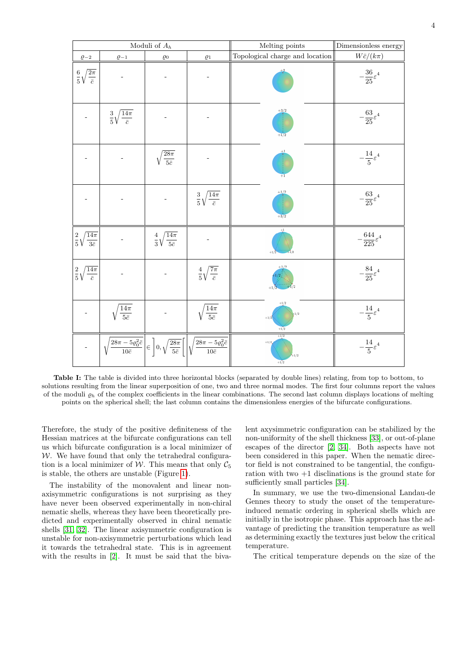<span id="page-3-0"></span>

| Moduli of $A_h$                            |                                           |                                            |                                                                                                                                                                                 | Melting points                       | Dimensionless energy            |
|--------------------------------------------|-------------------------------------------|--------------------------------------------|---------------------------------------------------------------------------------------------------------------------------------------------------------------------------------|--------------------------------------|---------------------------------|
| $\varrho_{-2}$                             | $\varrho_{-1}$                            | $\varrho_0$                                | $\varrho_1$                                                                                                                                                                     | Topological charge and location      | $W\bar{c}/(k\pi)$               |
| $rac{6}{5}\sqrt{\frac{2\pi}{\bar{c}}}$     |                                           |                                            |                                                                                                                                                                                 | $+2$                                 | $-\frac{36}{25}\varepsilon^4$   |
|                                            | $\frac{3}{5}\sqrt{\frac{14\pi}{\bar{c}}}$ |                                            |                                                                                                                                                                                 | $+3/2$<br>$+1/2$                     | $-\frac{63}{25}\varepsilon^4$   |
|                                            |                                           | $\sqrt{\frac{28\pi}{5\bar{c}}}$            |                                                                                                                                                                                 | $+1$                                 | $-\frac{14}{5}\varepsilon^4$    |
|                                            |                                           |                                            | $\frac{3}{5}\sqrt{\frac{14\pi}{\bar{c}}}$                                                                                                                                       | $+1/2$<br>$+3/2$                     | $-\frac{63}{25}\varepsilon^4$   |
| $\frac{2}{5}\sqrt{\frac{14\pi}{3\bar{c}}}$ |                                           | $\frac{4}{3}\sqrt{\frac{14\pi}{5\bar{c}}}$ |                                                                                                                                                                                 | $+1$<br>$+1/2$<br>$+1/2$             | $-\frac{644}{225}\varepsilon^4$ |
| $\frac{2}{5}\sqrt{\frac{14\pi}{\bar{c}}}$  |                                           |                                            | $rac{4}{5}\sqrt{\frac{7\pi}{\bar{c}}}$                                                                                                                                          | $+1/2$                               | $-\frac{84}{25}\varepsilon^4$   |
|                                            | $\sqrt{\frac{14\pi}{5\bar{c}}}$           |                                            | $\sqrt{\frac{14\pi}{5\bar{c}}}$                                                                                                                                                 | $+1/2$<br>$+1/2$<br>$+1/2$<br>$+1/2$ | $-\frac{14}{5}\varepsilon^4$    |
|                                            |                                           |                                            | $\sqrt{\frac{28\pi-5\varrho_0^2\bar{c}}{10\bar{c}}}\bigg \epsilon\,\,\bigg 0,\sqrt{\frac{28\pi}{5\bar{c}}}\,\bigg[\bigg \sqrt{\frac{28\pi-5\varrho_0^2\bar{c}}{10\bar{c}}}\,\,$ | $+1/2$<br>$+1/2$<br>$+1/2$<br>$+1/2$ | $-\frac{14}{5}\varepsilon^4$    |

Table I: The table is divided into three horizontal blocks (separated by double lines) relating, from top to bottom, to solutions resulting from the linear superposition of one, two and three normal modes. The first four columns report the values of the moduli  $\rho_h$  of the complex coefficients in the linear combinations. The second last column displays locations of melting points on the spherical shell; the last column contains the dimensionless energies of the bifurcate configurations.

Therefore, the study of the positive definiteness of the Hessian matrices at the bifurcate configurations can tell us which bifurcate configuration is a local minimizer of  $W$ . We have found that only the tetrahedral configuration is a local minimizer of W. This means that only  $\mathcal{C}_5$ is stable, the others are unstable (Figure [1\)](#page-4-17).

The instability of the monovalent and linear nonaxisymmetric configurations is not surprising as they have never been observed experimentally in non-chiral nematic shells, whereas they have been theoretically predicted and experimentally observed in chiral nematic shells [\[31,](#page-5-8) [32\]](#page-5-9). The linear axisymmetric configuration is unstable for non-axisymmetric perturbations which lead it towards the tetrahedral state. This is in agreement with the results in [\[2\]](#page-4-1). It must be said that the bivalent axysimmetric configuration can be stabilized by the non-uniformity of the shell thickness [\[33\]](#page-5-10), or out-of-plane escapes of the director [\[2,](#page-4-1) [34\]](#page-5-11). Both aspects have not been considered in this paper. When the nematic director field is not constrained to be tangential, the configuration with two  $+1$  disclinations is the ground state for sufficiently small particles [\[34\]](#page-5-11).

In summary, we use the two-dimensional Landau-de Gennes theory to study the onset of the temperatureinduced nematic ordering in spherical shells which are initially in the isotropic phase. This approach has the advantage of predicting the transition temperature as well as determining exactly the textures just below the critical temperature.

The critical temperature depends on the size of the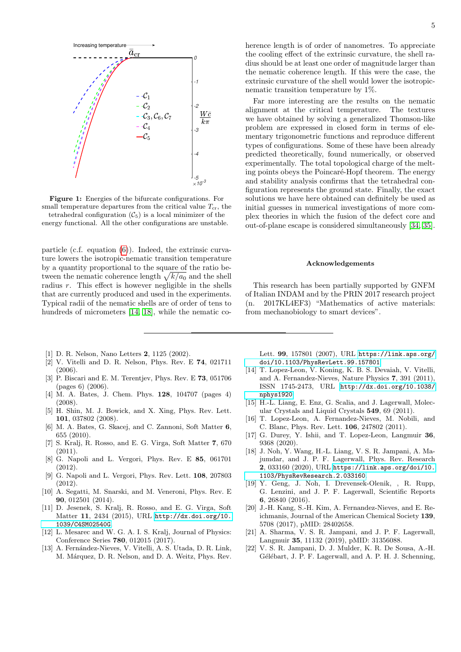<span id="page-4-17"></span>

Figure 1: Energies of the bifurcate configurations. For small temperature departures from the critical value  $T_{cr}$ , the tetrahedral configuration  $(\mathcal{C}_5)$  is a local minimizer of the energy functional. All the other configurations are unstable.

particle (c.f. equation [\(6\)](#page-1-2)). Indeed, the extrinsic curvature lowers the isotropic-nematic transition temperature by a quantity proportional to the square of the ratio between the nematic coherence length  $\sqrt{k/a_0}$  and the shell radius r. This effect is however negligible in the shells that are currently produced and used in the experiments. Typical radii of the nematic shells are of order of tens to hundreds of micrometers [\[14,](#page-4-5) [18\]](#page-4-8), while the nematic co-

- <span id="page-4-0"></span>[1] D. R. Nelson, Nano Letters 2, 1125 (2002).
- <span id="page-4-1"></span>[2] V. Vitelli and D. R. Nelson, Phys. Rev. E 74, 021711 (2006).
- <span id="page-4-14"></span>[3] P. Biscari and E. M. Terentjev, Phys. Rev. E 73, 051706 (pages 6) (2006).
- [4] M. A. Bates, J. Chem. Phys. 128, 104707 (pages 4) (2008).
- [5] H. Shin, M. J. Bowick, and X. Xing, Phys. Rev. Lett. 101, 037802 (2008).
- [6] M. A. Bates, G. Skacej, and C. Zannoni, Soft Matter 6, 655 (2010).
- <span id="page-4-15"></span>[7] S. Kralj, R. Rosso, and E. G. Virga, Soft Matter 7, 670 (2011).
- <span id="page-4-13"></span>[8] G. Napoli and L. Vergori, Phys. Rev. E 85, 061701 (2012).
- <span id="page-4-16"></span>[9] G. Napoli and L. Vergori, Phys. Rev. Lett. 108, 207803 (2012).
- [10] A. Segatti, M. Snarski, and M. Veneroni, Phys. Rev. E 90, 012501 (2014).
- [11] D. Jesenek, S. Kralj, R. Rosso, and E. G. Virga, Soft Matter 11, 2434 (2015), URL [http://dx.doi.org/10.](http://dx.doi.org/10.1039/C4SM02540G) [1039/C4SM02540G](http://dx.doi.org/10.1039/C4SM02540G).
- <span id="page-4-2"></span>[12] L. Mesarec and W. G. A. I. S. Kralj, Journal of Physics: Conference Series 780, 012015 (2017).
- <span id="page-4-3"></span>[13] A. Fernández-Nieves, V. Vitelli, A. S. Utada, D. R. Link, M. Márquez, D. R. Nelson, and D. A. Weitz, Phys. Rev.

herence length is of order of nanometres. To appreciate the cooling effect of the extrinsic curvature, the shell radius should be at least one order of magnitude larger than the nematic coherence length. If this were the case, the extrinsic curvature of the shell would lower the isotropicnematic transition temperature by 1%.

Far more interesting are the results on the nematic alignment at the critical temperature. The textures we have obtained by solving a generalized Thomson-like problem are expressed in closed form in terms of elementary trigonometric functions and reproduce different types of configurations. Some of these have been already predicted theoretically, found numerically, or observed experimentally. The total topological charge of the melting points obeys the Poincaré-Hopf theorem. The energy and stability analysis confirms that the tetrahedral configuration represents the ground state. Finally, the exact solutions we have here obtained can definitely be used as initial guesses in numerical investigations of more complex theories in which the fusion of the defect core and out-of-plane escape is considered simultaneously [\[34,](#page-5-11) [35\]](#page-5-12).

## Acknowledgements

This research has been partially supported by GNFM of Italian INDAM and by the PRIN 2017 research project (n. 2017KL4EF3) "Mathematics of active materials: from mechanobiology to smart devices".

Lett. 99, 157801 (2007), URL [https://link.aps.org/](https://link.aps.org/doi/10.1103/PhysRevLett.99.157801) [doi/10.1103/PhysRevLett.99.157801](https://link.aps.org/doi/10.1103/PhysRevLett.99.157801).

- <span id="page-4-5"></span>[14] T. Lopez-Leon, V. Koning, K. B. S. Devaiah, V. Vitelli, and A. Fernandez-Nieves, Nature Physics 7, 391 (2011), ISSN 1745-2473, URL [http://dx.doi.org/10.1038/](http://dx.doi.org/10.1038/nphys1920) [nphys1920](http://dx.doi.org/10.1038/nphys1920).
- <span id="page-4-6"></span>[15] H.-L. Liang, E. Enz, G. Scalia, and J. Lagerwall, Molecular Crystals and Liquid Crystals 549, 69 (2011).
- <span id="page-4-4"></span>[16] T. Lopez-Leon, A. Fernandez-Nieves, M. Nobili, and C. Blanc, Phys. Rev. Lett. 106, 247802 (2011).
- <span id="page-4-7"></span>[17] G. Durey, Y. Ishii, and T. Lopez-Leon, Langmuir 36, 9368 (2020).
- <span id="page-4-8"></span>[18] J. Noh, Y. Wang, H.-L. Liang, V. S. R. Jampani, A. Majumdar, and J. P. F. Lagerwall, Phys. Rev. Research 2, 033160 (2020), URL [https://link.aps.org/doi/10.](https://link.aps.org/doi/10.1103/PhysRevResearch.2.033160) [1103/PhysRevResearch.2.033160](https://link.aps.org/doi/10.1103/PhysRevResearch.2.033160).
- <span id="page-4-9"></span>[19] Y. Geng, J. Noh, I. Drevensek-Olenik, , R. Rupp, G. Lenzini, and J. P. F. Lagerwall, Scientific Reports 6, 26840 (2016).
- <span id="page-4-10"></span>[20] J.-H. Kang, S.-H. Kim, A. Fernandez-Nieves, and E. Reichmanis, Journal of the American Chemical Society 139, 5708 (2017), pMID: 28402658.
- <span id="page-4-11"></span>[21] A. Sharma, V. S. R. Jampani, and J. P. F. Lagerwall, Langmuir 35, 11132 (2019), pMID: 31356088.
- <span id="page-4-12"></span>[22] V. S. R. Jampani, D. J. Mulder, K. R. De Sousa, A.-H. Gélébart, J. P. F. Lagerwall, and A. P. H. J. Schenning,